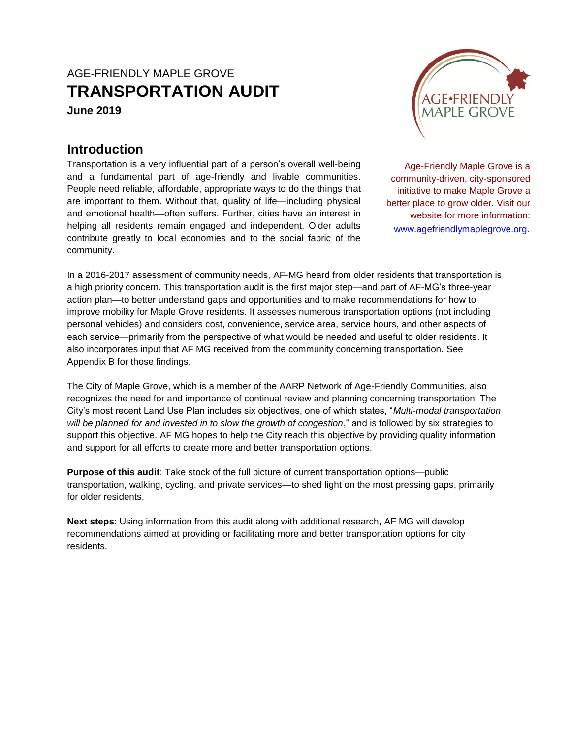# AGE-FRIENDLY MAPLE GROVE **TRANSPORTATION AUDIT June 2019**

# **Introduction**

Transportation is a very influential part of a person's overall well-being and a fundamental part of age-friendly and livable communities. People need reliable, affordable, appropriate ways to do the things that are important to them. Without that, quality of life—including physical and emotional health—often suffers. Further, cities have an interest in helping all residents remain engaged and independent. Older adults contribute greatly to local economies and to the social fabric of the community.



Age-Friendly Maple Grove is a community-driven, city-sponsored initiative to make Maple Grove a better place to grow older. Visit our website for more information: [www.agefriendlymaplegrove.org](http://www.agefriendlymaplegrove.org/).

In a 2016-2017 assessment of community needs, AF-MG heard from older residents that transportation is a high priority concern. This transportation audit is the first major step—and part of AF-MG's three-year action plan—to better understand gaps and opportunities and to make recommendations for how to improve mobility for Maple Grove residents. It assesses numerous transportation options (not including personal vehicles) and considers cost, convenience, service area, service hours, and other aspects of each service—primarily from the perspective of what would be needed and useful to older residents. It also incorporates input that AF MG received from the community concerning transportation. See Appendix B for those findings.

The City of Maple Grove, which is a member of the AARP Network of Age-Friendly Communities, also recognizes the need for and importance of continual review and planning concerning transportation. The City's most recent Land Use Plan includes six objectives, one of which states, "*Multi-modal transportation will be planned for and invested in to slow the growth of congestion*," and is followed by six strategies to support this objective. AF MG hopes to help the City reach this objective by providing quality information and support for all efforts to create more and better transportation options.

**Purpose of this audit**: Take stock of the full picture of current transportation options—public transportation, walking, cycling, and private services—to shed light on the most pressing gaps, primarily for older residents.

**Next steps**: Using information from this audit along with additional research, AF MG will develop recommendations aimed at providing or facilitating more and better transportation options for city residents.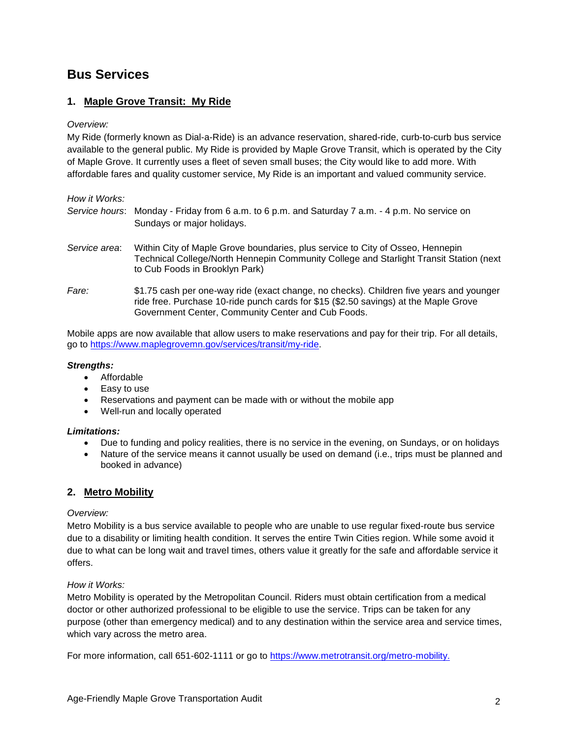## **Bus Services**

## **1. Maple Grove Transit: My Ride**

#### *Overview:*

My Ride (formerly known as Dial-a-Ride) is an advance reservation, shared-ride, curb-to-curb bus service available to the general public. My Ride is provided by Maple Grove Transit, which is operated by the City of Maple Grove. It currently uses a fleet of seven small buses; the City would like to add more. With affordable fares and quality customer service, My Ride is an important and valued community service.

| How it Works: |                                                                                                                                                                                                                                       |
|---------------|---------------------------------------------------------------------------------------------------------------------------------------------------------------------------------------------------------------------------------------|
|               | Service hours: Monday - Friday from 6 a.m. to 6 p.m. and Saturday 7 a.m. - 4 p.m. No service on<br>Sundays or major holidays.                                                                                                         |
| Service area: | Within City of Maple Grove boundaries, plus service to City of Osseo, Hennepin<br>Technical College/North Hennepin Community College and Starlight Transit Station (next<br>to Cub Foods in Brooklyn Park)                            |
| Fare:         | \$1.75 cash per one-way ride (exact change, no checks). Children five years and younger<br>ride free. Purchase 10-ride punch cards for \$15 (\$2.50 savings) at the Maple Grove<br>Government Center, Community Center and Cub Foods. |

Mobile apps are now available that allow users to make reservations and pay for their trip. For all details, go to [https://www.maplegrovemn.gov/services/transit/my-ride.](https://www.maplegrovemn.gov/services/transit/my-ride)

#### *Strengths:*

- Affordable
- Easy to use
- Reservations and payment can be made with or without the mobile app
- Well-run and locally operated

#### *Limitations:*

- Due to funding and policy realities, there is no service in the evening, on Sundays, or on holidays
- Nature of the service means it cannot usually be used on demand (i.e., trips must be planned and booked in advance)

## **2. Metro Mobility**

#### *Overview:*

Metro Mobility is a bus service available to people who are unable to use regular fixed-route bus service due to a disability or limiting health condition. It serves the entire Twin Cities region. While some avoid it due to what can be long wait and travel times, others value it greatly for the safe and affordable service it offers.

#### *How it Works:*

Metro Mobility is operated by the Metropolitan Council. Riders must obtain certification from a medical doctor or other authorized professional to be eligible to use the service. Trips can be taken for any purpose (other than emergency medical) and to any destination within the service area and service times, which vary across the metro area.

For more information, call 651-602-1111 or go to [https://www.metrotransit.org/metro-mobility.](https://www.metrotransit.org/metro-mobility)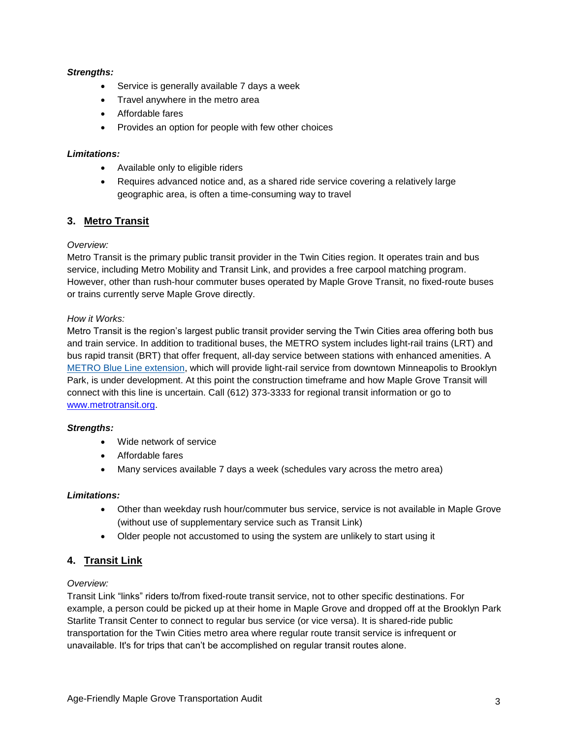## *Strengths:*

- Service is generally available 7 days a week
- Travel anywhere in the metro area
- Affordable fares
- Provides an option for people with few other choices

## *Limitations:*

- Available only to eligible riders
- Requires advanced notice and, as a shared ride service covering a relatively large geographic area, is often a time-consuming way to travel

## **3. Metro Transit**

## *Overview:*

Metro Transit is the primary public transit provider in the Twin Cities region. It operates train and bus service, including Metro Mobility and Transit Link, and provides a free carpool matching program. However, other than rush-hour commuter buses operated by Maple Grove Transit, no fixed-route buses or trains currently serve Maple Grove directly.

## *How it Works:*

Metro Transit is the region's largest public transit provider serving the Twin Cities area offering both bus and train service. In addition to traditional buses, the METRO system includes light-rail trains (LRT) and bus rapid transit (BRT) that offer frequent, all-day service between stations with enhanced amenities. A [METRO Blue Line extension,](http://www.metrocouncil.org/Transportation/Projects/Furture-Projects/Bottineau-Transitway.aspx) which will provide light-rail service from downtown Minneapolis to Brooklyn Park, is under development. At this point the construction timeframe and how Maple Grove Transit will connect with this line is uncertain. Call (612) 373-3333 for regional transit information or go to [www.metrotransit.org.](http://www.metrotransit.org/)

## *Strengths:*

- Wide network of service
- Affordable fares
- Many services available 7 days a week (schedules vary across the metro area)

## *Limitations:*

- Other than weekday rush hour/commuter bus service, service is not available in Maple Grove (without use of supplementary service such as Transit Link)
- Older people not accustomed to using the system are unlikely to start using it

## **4. Transit Link**

## *Overview:*

Transit Link "links" riders to/from fixed-route transit service, not to other specific destinations. For example, a person could be picked up at their home in Maple Grove and dropped off at the Brooklyn Park Starlite Transit Center to connect to regular bus service (or vice versa). It is shared-ride public transportation for the Twin Cities metro area where regular route transit service is infrequent or unavailable. It's for trips that can't be accomplished on regular transit routes alone.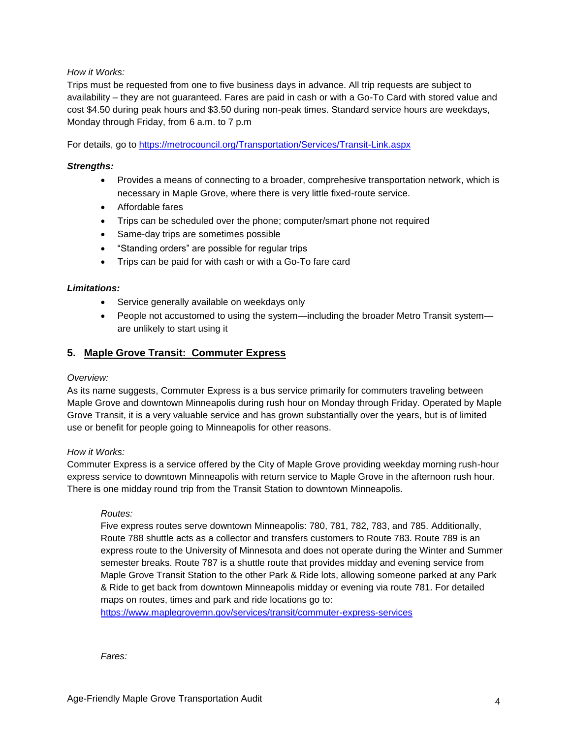## *How it Works:*

Trips must be requested from one to five business days in advance. All trip requests are subject to availability – they are not guaranteed. Fares are paid in cash or with a Go-To Card with stored value and cost \$4.50 during peak hours and \$3.50 during non-peak times. Standard service hours are weekdays, Monday through Friday, from 6 a.m. to 7 p.m

For details, go to<https://metrocouncil.org/Transportation/Services/Transit-Link.aspx>

#### *Strengths:*

- Provides a means of connecting to a broader, comprehesive transportation network, which is necessary in Maple Grove, where there is very little fixed-route service.
- Affordable fares
- Trips can be scheduled over the phone; computer/smart phone not required
- Same-day trips are sometimes possible
- "Standing orders" are possible for regular trips
- Trips can be paid for with cash or with a Go-To fare card

#### *Limitations:*

- Service generally available on weekdays only
- People not accustomed to using the system—including the broader Metro Transit system are unlikely to start using it

## **5. Maple Grove Transit: Commuter Express**

#### *Overview:*

As its name suggests, Commuter Express is a bus service primarily for commuters traveling between Maple Grove and downtown Minneapolis during rush hour on Monday through Friday. Operated by Maple Grove Transit, it is a very valuable service and has grown substantially over the years, but is of limited use or benefit for people going to Minneapolis for other reasons.

#### *How it Works:*

Commuter Express is a service offered by the City of Maple Grove providing weekday morning rush-hour express service to downtown Minneapolis with return service to Maple Grove in the afternoon rush hour. There is one midday round trip from the Transit Station to downtown Minneapolis.

#### *Routes:*

Five express routes serve downtown Minneapolis: 780, 781, 782, 783, and 785. Additionally, Route 788 shuttle acts as a collector and transfers customers to Route 783. Route 789 is an express route to the University of Minnesota and does not operate during the Winter and Summer semester breaks. Route 787 is a shuttle route that provides midday and evening service from Maple Grove Transit Station to the other Park & Ride lots, allowing someone parked at any Park & Ride to get back from downtown Minneapolis midday or evening via route 781. For detailed maps on routes, times and park and ride locations go to:

<https://www.maplegrovemn.gov/services/transit/commuter-express-services>

*Fares:*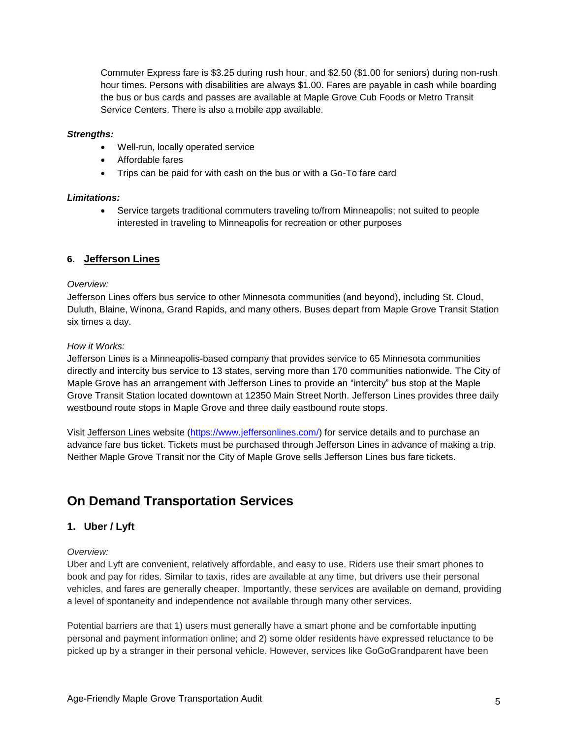Commuter Express fare is \$3.25 during rush hour, and \$2.50 (\$1.00 for seniors) during non-rush hour times. Persons with disabilities are always \$1.00. Fares are payable in cash while boarding the bus or bus cards and passes are available at Maple Grove Cub Foods or Metro Transit Service Centers. There is also a mobile app available.

#### *Strengths:*

- Well-run, locally operated service
- Affordable fares
- Trips can be paid for with cash on the bus or with a Go-To fare card

#### *Limitations:*

 Service targets traditional commuters traveling to/from Minneapolis; not suited to people interested in traveling to Minneapolis for recreation or other purposes

## **6. Jefferson Lines**

#### *Overview:*

Jefferson Lines offers bus service to other Minnesota communities (and beyond), including St. Cloud, Duluth, Blaine, Winona, Grand Rapids, and many others. Buses depart from Maple Grove Transit Station six times a day.

#### *How it Works:*

Jefferson Lines is a Minneapolis-based company that provides service to 65 Minnesota communities directly and intercity bus service to 13 states, serving more than 170 communities nationwide. The City of Maple Grove has an arrangement with Jefferson Lines to provide an "intercity" bus stop at the Maple Grove Transit Station located downtown at 12350 Main Street North. Jefferson Lines provides three daily westbound route stops in Maple Grove and three daily eastbound route stops.

Visit Jefferson Lines website [\(https://www.jeffersonlines.com/\)](https://www.jeffersonlines.com/) for service details and to purchase an advance fare bus ticket. Tickets must be purchased through Jefferson Lines in advance of making a trip. Neither Maple Grove Transit nor the City of Maple Grove sells Jefferson Lines bus fare tickets.

## **On Demand Transportation Services**

## **1. Uber / Lyft**

## *Overview:*

Uber and Lyft are convenient, relatively affordable, and easy to use. Riders use their smart phones to book and pay for rides. Similar to taxis, rides are available at any time, but drivers use their personal vehicles, and fares are generally cheaper. Importantly, these services are available on demand, providing a level of spontaneity and independence not available through many other services.

Potential barriers are that 1) users must generally have a smart phone and be comfortable inputting personal and payment information online; and 2) some older residents have expressed reluctance to be picked up by a stranger in their personal vehicle. However, services like GoGoGrandparent have been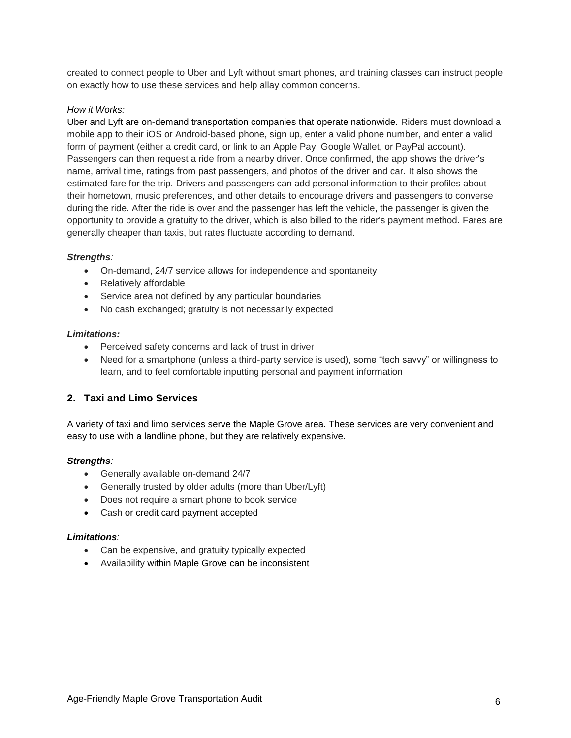created to connect people to Uber and Lyft without smart phones, and training classes can instruct people on exactly how to use these services and help allay common concerns.

## *How it Works:*

Uber and Lyft are on-demand transportation companies that operate nationwide. Riders must download a mobile app to their iOS or Android-based phone, sign up, enter a valid phone number, and enter a valid form of payment (either a credit card, or link to an Apple Pay, Google Wallet, or PayPal account). Passengers can then request a ride from a nearby driver. Once confirmed, the app shows the driver's name, arrival time, ratings from past passengers, and photos of the driver and car. It also shows the estimated fare for the trip. Drivers and passengers can add personal information to their profiles about their hometown, music preferences, and other details to encourage drivers and passengers to converse during the ride. After the ride is over and the passenger has left the vehicle, the passenger is given the opportunity to provide a gratuity to the driver, which is also billed to the rider's payment method. Fares are generally cheaper than taxis, but rates fluctuate according to demand.

## *Strengths:*

- On-demand, 24/7 service allows for independence and spontaneity
- Relatively affordable
- Service area not defined by any particular boundaries
- No cash exchanged; gratuity is not necessarily expected

## *Limitations:*

- Perceived safety concerns and lack of trust in driver
- Need for a smartphone (unless a third-party service is used), some "tech savvy" or willingness to learn, and to feel comfortable inputting personal and payment information

## **2. Taxi and Limo Services**

A variety of taxi and limo services serve the Maple Grove area. These services are very convenient and easy to use with a landline phone, but they are relatively expensive.

## *Strengths:*

- Generally available on-demand 24/7
- Generally trusted by older adults (more than Uber/Lyft)
- Does not require a smart phone to book service
- Cash or credit card payment accepted

## *Limitations:*

- Can be expensive, and gratuity typically expected
- Availability within Maple Grove can be inconsistent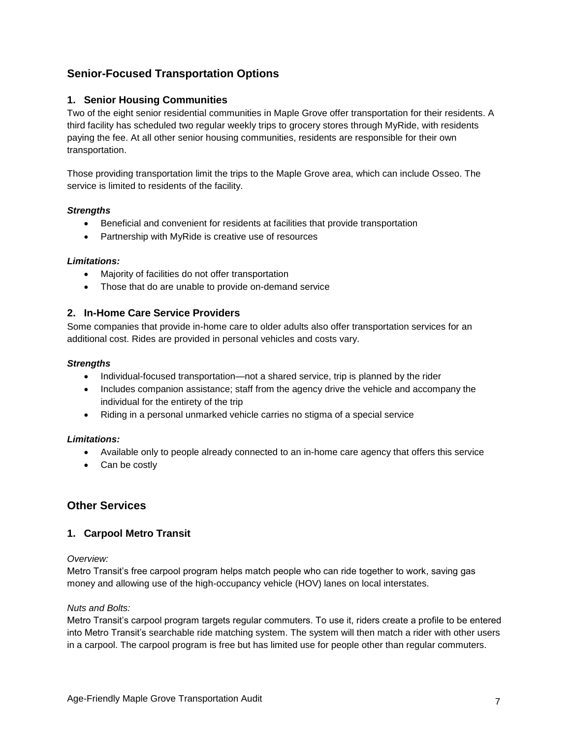## **Senior-Focused Transportation Options**

## **1. Senior Housing Communities**

Two of the eight senior residential communities in Maple Grove offer transportation for their residents. A third facility has scheduled two regular weekly trips to grocery stores through MyRide, with residents paying the fee. At all other senior housing communities, residents are responsible for their own transportation.

Those providing transportation limit the trips to the Maple Grove area, which can include Osseo. The service is limited to residents of the facility.

## *Strengths*

- Beneficial and convenient for residents at facilities that provide transportation
- Partnership with MyRide is creative use of resources

## *Limitations:*

- Majority of facilities do not offer transportation
- Those that do are unable to provide on-demand service

## **2. In-Home Care Service Providers**

Some companies that provide in-home care to older adults also offer transportation services for an additional cost. Rides are provided in personal vehicles and costs vary.

## *Strengths*

- Individual-focused transportation—not a shared service, trip is planned by the rider
- Includes companion assistance; staff from the agency drive the vehicle and accompany the individual for the entirety of the trip
- Riding in a personal unmarked vehicle carries no stigma of a special service

## *Limitations:*

- Available only to people already connected to an in-home care agency that offers this service
- Can be costly

## **Other Services**

## **1. Carpool Metro Transit**

## *Overview:*

Metro Transit's free carpool program helps match people who can ride together to work, saving gas money and allowing use of the high-occupancy vehicle (HOV) lanes on local interstates.

## *Nuts and Bolts:*

Metro Transit's carpool program targets regular commuters. To use it, riders create a profile to be entered into Metro Transit's searchable ride matching system. The system will then match a rider with other users in a carpool. The carpool program is free but has limited use for people other than regular commuters.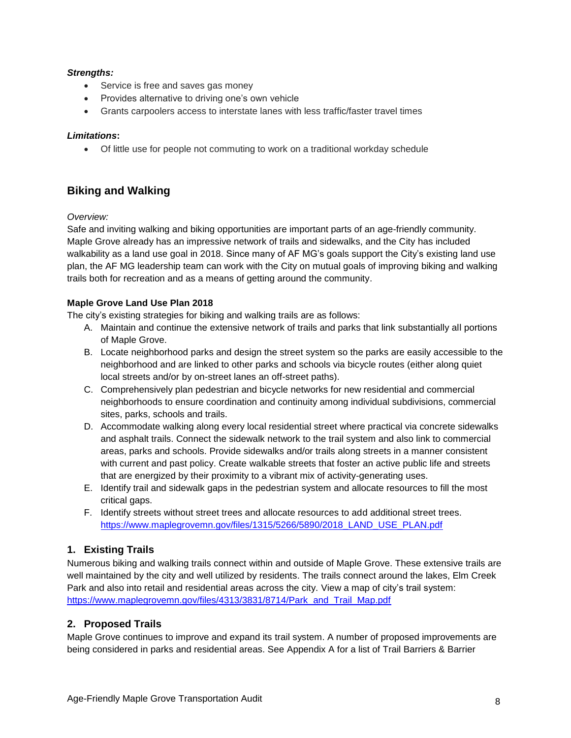## *Strengths:*

- Service is free and saves gas money
- Provides alternative to driving one's own vehicle
- Grants carpoolers access to interstate lanes with less traffic/faster travel times

## *Limitations***:**

Of little use for people not commuting to work on a traditional workday schedule

## **Biking and Walking**

## *Overview:*

Safe and inviting walking and biking opportunities are important parts of an age-friendly community. Maple Grove already has an impressive network of trails and sidewalks, and the City has included walkability as a land use goal in 2018. Since many of AF MG's goals support the City's existing land use plan, the AF MG leadership team can work with the City on mutual goals of improving biking and walking trails both for recreation and as a means of getting around the community.

## **Maple Grove Land Use Plan 2018**

The city's existing strategies for biking and walking trails are as follows:

- A. Maintain and continue the extensive network of trails and parks that link substantially all portions of Maple Grove.
- B. Locate neighborhood parks and design the street system so the parks are easily accessible to the neighborhood and are linked to other parks and schools via bicycle routes (either along quiet local streets and/or by on-street lanes an off-street paths).
- C. Comprehensively plan pedestrian and bicycle networks for new residential and commercial neighborhoods to ensure coordination and continuity among individual subdivisions, commercial sites, parks, schools and trails.
- D. Accommodate walking along every local residential street where practical via concrete sidewalks and asphalt trails. Connect the sidewalk network to the trail system and also link to commercial areas, parks and schools. Provide sidewalks and/or trails along streets in a manner consistent with current and past policy. Create walkable streets that foster an active public life and streets that are energized by their proximity to a vibrant mix of activity-generating uses.
- E. Identify trail and sidewalk gaps in the pedestrian system and allocate resources to fill the most critical gaps.
- F. Identify streets without street trees and allocate resources to add additional street trees. https://www.maplegrovemn.gov/files/1315/5266/5890/2018 LAND USE PLAN.pdf

## **1. Existing Trails**

Numerous biking and walking trails connect within and outside of Maple Grove. These extensive trails are well maintained by the city and well utilized by residents. The trails connect around the lakes, Elm Creek Park and also into retail and residential areas across the city. View a map of city's trail system: [https://www.maplegrovemn.gov/files/4313/3831/8714/Park\\_and\\_Trail\\_Map.pdf](https://www.maplegrovemn.gov/files/4313/3831/8714/Park_and_Trail_Map.pdf)

## **2. Proposed Trails**

Maple Grove continues to improve and expand its trail system. A number of proposed improvements are being considered in parks and residential areas. See Appendix A for a list of Trail Barriers & Barrier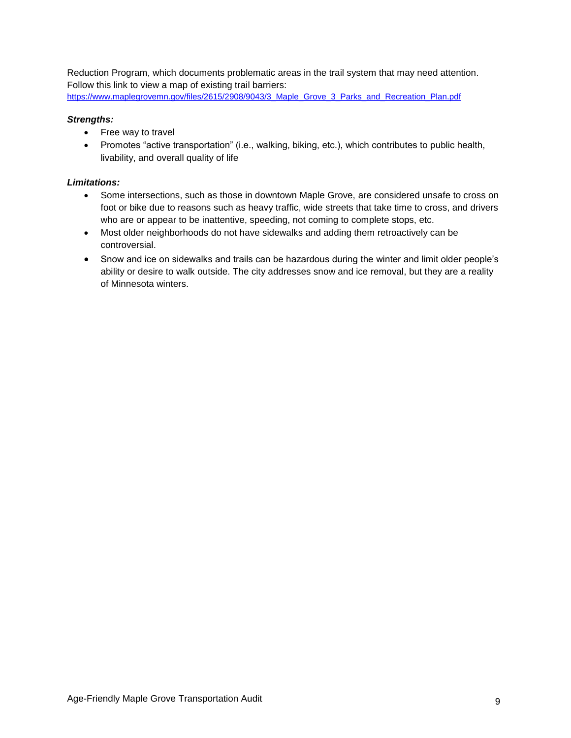Reduction Program, which documents problematic areas in the trail system that may need attention. Follow this link to view a map of existing trail barriers:

## [https://www.maplegrovemn.gov/files/2615/2908/9043/3\\_Maple\\_Grove\\_3\\_Parks\\_and\\_Recreation\\_Plan.pdf](https://www.maplegrovemn.gov/files/2615/2908/9043/3_Maple_Grove_3_Parks_and_Recreation_Plan.pdf)

## *Strengths:*

- Free way to travel
- Promotes "active transportation" (i.e., walking, biking, etc.), which contributes to public health, livability, and overall quality of life

## *Limitations:*

- Some intersections, such as those in downtown Maple Grove, are considered unsafe to cross on foot or bike due to reasons such as heavy traffic, wide streets that take time to cross, and drivers who are or appear to be inattentive, speeding, not coming to complete stops, etc.
- Most older neighborhoods do not have sidewalks and adding them retroactively can be controversial.
- Snow and ice on sidewalks and trails can be hazardous during the winter and limit older people's ability or desire to walk outside. The city addresses snow and ice removal, but they are a reality of Minnesota winters.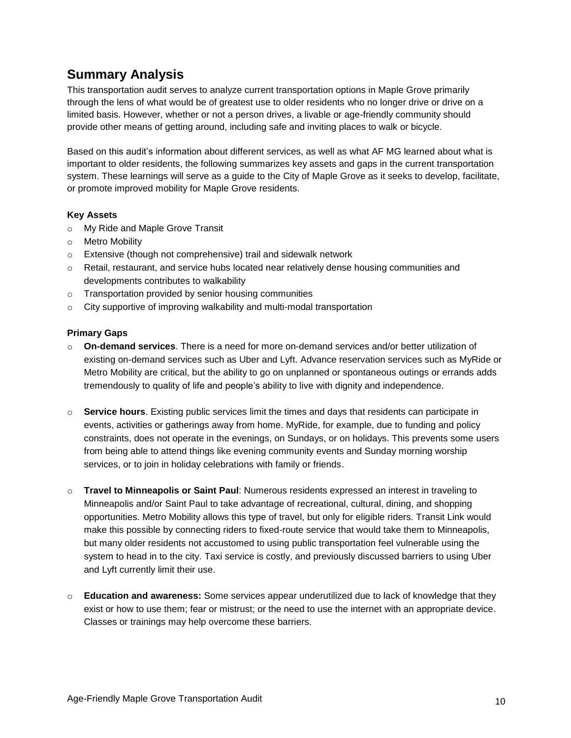## **Summary Analysis**

This transportation audit serves to analyze current transportation options in Maple Grove primarily through the lens of what would be of greatest use to older residents who no longer drive or drive on a limited basis. However, whether or not a person drives, a livable or age-friendly community should provide other means of getting around, including safe and inviting places to walk or bicycle.

Based on this audit's information about different services, as well as what AF MG learned about what is important to older residents, the following summarizes key assets and gaps in the current transportation system. These learnings will serve as a guide to the City of Maple Grove as it seeks to develop, facilitate, or promote improved mobility for Maple Grove residents.

## **Key Assets**

- o My Ride and Maple Grove Transit
- o Metro Mobility
- o Extensive (though not comprehensive) trail and sidewalk network
- $\circ$  Retail, restaurant, and service hubs located near relatively dense housing communities and developments contributes to walkability
- o Transportation provided by senior housing communities
- o City supportive of improving walkability and multi-modal transportation

## **Primary Gaps**

- o **On-demand services**. There is a need for more on-demand services and/or better utilization of existing on-demand services such as Uber and Lyft. Advance reservation services such as MyRide or Metro Mobility are critical, but the ability to go on unplanned or spontaneous outings or errands adds tremendously to quality of life and people's ability to live with dignity and independence.
- o **Service hours**. Existing public services limit the times and days that residents can participate in events, activities or gatherings away from home. MyRide, for example, due to funding and policy constraints, does not operate in the evenings, on Sundays, or on holidays. This prevents some users from being able to attend things like evening community events and Sunday morning worship services, or to join in holiday celebrations with family or friends.
- o **Travel to Minneapolis or Saint Paul**: Numerous residents expressed an interest in traveling to Minneapolis and/or Saint Paul to take advantage of recreational, cultural, dining, and shopping opportunities. Metro Mobility allows this type of travel, but only for eligible riders. Transit Link would make this possible by connecting riders to fixed-route service that would take them to Minneapolis, but many older residents not accustomed to using public transportation feel vulnerable using the system to head in to the city. Taxi service is costly, and previously discussed barriers to using Uber and Lyft currently limit their use.
- o **Education and awareness:** Some services appear underutilized due to lack of knowledge that they exist or how to use them; fear or mistrust; or the need to use the internet with an appropriate device. Classes or trainings may help overcome these barriers.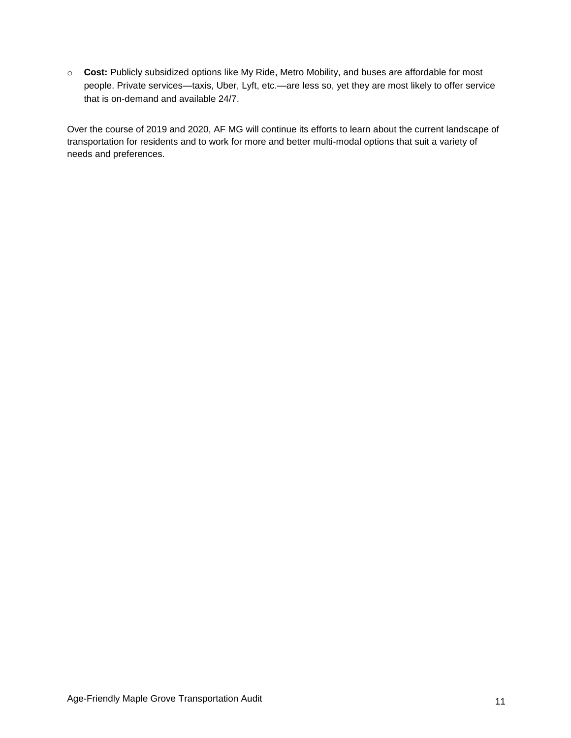o **Cost:** Publicly subsidized options like My Ride, Metro Mobility, and buses are affordable for most people. Private services—taxis, Uber, Lyft, etc.—are less so, yet they are most likely to offer service that is on-demand and available 24/7.

Over the course of 2019 and 2020, AF MG will continue its efforts to learn about the current landscape of transportation for residents and to work for more and better multi-modal options that suit a variety of needs and preferences.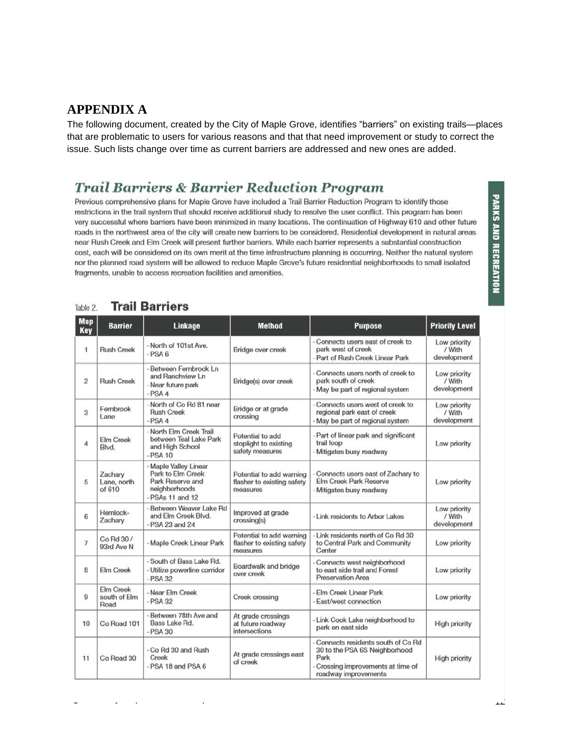## **APPENDIX A**

The following document, created by the City of Maple Grove, identifies "barriers" on existing trails—places that are problematic to users for various reasons and that that need improvement or study to correct the issue. Such lists change over time as current barriers are addressed and new ones are added.

## **Trail Barriers & Barrier Reduction Program**

Previous comprehensive plans for Maple Grove have included a Trail Barrier Reduction Program to identify those restrictions in the trail system that should receive additional study to resolve the user conflict. This program has been very successful where barriers have been minimized in many locations. The continuation of Highway 610 and other future roads in the northwest area of the city will create new barriers to be considered. Residential development in natural areas near Rush Creek and Elm Creek will present further barriers. While each barrier represents a substantial construction cost, each will be considered on its own merit at the time infrastructure planning is occurring. Neither the natural system nor the planned road system will be allowed to reduce Maple Grove's future residential neighborhoods to small isolated fragments, unable to access recreation facilities and amenities.

#### **Trail Barriers** Table 2.

| <b>Map</b><br>Key | <b>Barrier</b>                    | Linkage                                                                                            | <b>Method</b>                                                      | Purpose                                                                                                                                | <b>Priority Level</b>                 |
|-------------------|-----------------------------------|----------------------------------------------------------------------------------------------------|--------------------------------------------------------------------|----------------------------------------------------------------------------------------------------------------------------------------|---------------------------------------|
| 1                 | <b>Rush Creek</b>                 | -North of 101st Ave.<br>$-PSA6$                                                                    | Bridge over creek                                                  | Connects users east of creek to<br>park west of creek<br>Part of Rush Creek Linear Park                                                | Low priority<br>/ With<br>development |
| $\overline{c}$    | <b>Rush Creek</b>                 | Between Fernbrook Ln<br>and Ranchview Ln<br>- Near future park<br>$-PSA4$                          | Bridge(s) over creek                                               | Connects users north of creek to<br>park south of creek<br>May be part of regional system                                              | Low priority<br>/ With<br>development |
| 3                 | Fernbrook<br>Lane                 | -North of Co Rd 81 near<br><b>Rush Creek</b><br>$-PSA4$                                            | Bridge or at grade<br>crossing                                     | Connects users west of creek to<br>regional park east of creek<br>May be part of regional system                                       | Low priority<br>/ With<br>development |
| 4                 | <b>Elm Creek</b><br>Blvd.         | - North Elm Creek Trail<br>between Teal Lake Park<br>and High School<br>$-PSA$ 10                  | Potential to add<br>stoplight to existing<br>safety measures       | Part of linear park and significant<br>trail loop<br>Mitigates busy roadway                                                            | Low priority                          |
| 5                 | Zachary<br>Lane, north<br>of 610  | - Maple Valley Linear<br>Park to Elm Creek<br>Park Reserve and<br>neighborhoods<br>-PSAs 11 and 12 | Potential to add warning<br>flasher to existing safety<br>measures | Connects users east of Zachary to<br>Elm Creek Park Reserve<br>Mitigates busy roadway                                                  | Low priority                          |
| 6                 | Hemlock-<br>Zachary               | Between Weaver Lake Rd<br>and Elm Creek Blvd.<br>- PSA 23 and 24                                   | Improved at grade<br>crossing(s)                                   | - Link residents to Arbor Lakes                                                                                                        | Low priority<br>/ With<br>development |
| $\overline{7}$    | Co Rd 30 /<br>93rd Ave N          | - Maple Creek Linear Park                                                                          | Potential to add warning<br>flasher to existing safety<br>measures | Link residents north of Co Rd 30<br>to Central Park and Community<br>Center                                                            | Low priority                          |
| 8                 | Elm Creek                         | - South of Bass Lake Rd.<br>- Utilize powerline corridor<br>$-$ PSA 32                             | Boardwalk and bridge<br>over creek                                 | Connects west neighborhood<br>to east side trail and Forest<br>Preservation Area                                                       | Low priority                          |
| $\overline{9}$    | Elm Creek<br>south of Elm<br>Road | - Near Elm Creek<br>$-$ PSA 32                                                                     | Creek crossing                                                     | - Elm Creek Linear Park<br>- East/west connection                                                                                      | Low priority                          |
| 10                | Co Road 101                       | Between 78th Ave and<br>Bass Lake Rd.<br>$-PSA330$                                                 | At grade crossings<br>at future roadway<br>intersections           | - Link Cook Lake neighborhood to<br>park on east side                                                                                  | <b>High priority</b>                  |
| 11                | Co Road 30                        | - Co Rd 30 and Rush<br>Creek<br>- PSA 18 and PSA 6                                                 | At grade crossings east<br>of creek                                | Connects residents south of Co Rd<br>30 to the PSA 6S Neighborhood<br>Park<br>Crossing improvements at time of<br>roadway improvements | <b>High priority</b>                  |

| 6              | Hemlock-<br>Zachary               | - Between Weaver Lake Rd<br>and Elm Creek Blvd.<br>- PSA 23 and 24   | Improved at grade<br>crossing(s)                                   | - Link residents to Arbor Lakes                                                                                                        | Low priority<br>/ With<br>development |
|----------------|-----------------------------------|----------------------------------------------------------------------|--------------------------------------------------------------------|----------------------------------------------------------------------------------------------------------------------------------------|---------------------------------------|
| $\overline{7}$ | Co Rd 30 /<br>93rd Ave N          | - Maple Creek Linear Park                                            | Potential to add warning<br>flasher to existing safety<br>measures | Link residents north of Co Rd 30<br>to Central Park and Community<br>Center                                                            | Low priority                          |
| 8              | Elm Creek                         | - South of Bass Lake Rd.<br>- Utilize powerline corridor<br>$-PSA32$ | Boardwalk and bridge<br>over creek                                 | Connects west neighborhood<br>to east side trail and Forest<br>Preservation Area                                                       | Low priority                          |
| 9              | Elm Creek<br>south of Elm<br>Road | - Near Elm Creek<br>$-PSA32$                                         | Creek crossing                                                     | Elm Creek Linear Park<br>- East/west connection                                                                                        | Low priority                          |
| 10             | Co Road 101                       | -Between 78th Ave and<br>Bass Lake Rd.<br>$-PSA330$                  | At grade crossings<br>at future roadway<br>intersections           | Link Cook Lake neighborhood to<br>park on east side                                                                                    | <b>High priority</b>                  |
| 11             | Co Road 30                        | - Co Rd 30 and Rush<br>Creek<br>- PSA 18 and PSA 6                   | At grade crossings east<br>of creek                                | Connects residents south of Co Rd<br>30 to the PSA 6S Neighborhood<br>Park<br>Crossing improvements at time of<br>roadway improvements | <b>High priority</b>                  |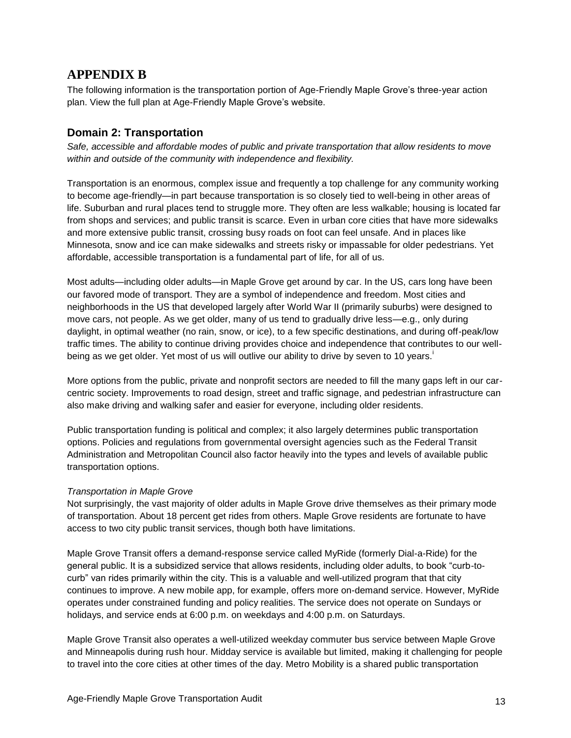## **APPENDIX B**

The following information is the transportation portion of Age-Friendly Maple Grove's three-year action plan. View the full plan at Age-Friendly Maple Grove's website.

## **Domain 2: Transportation**

*Safe, accessible and affordable modes of public and private transportation that allow residents to move within and outside of the community with independence and flexibility.*

Transportation is an enormous, complex issue and frequently a top challenge for any community working to become age-friendly—in part because transportation is so closely tied to well-being in other areas of life. Suburban and rural places tend to struggle more. They often are less walkable; housing is located far from shops and services; and public transit is scarce. Even in urban core cities that have more sidewalks and more extensive public transit, crossing busy roads on foot can feel unsafe. And in places like Minnesota, snow and ice can make sidewalks and streets risky or impassable for older pedestrians. Yet affordable, accessible transportation is a fundamental part of life, for all of us.

Most adults—including older adults—in Maple Grove get around by car. In the US, cars long have been our favored mode of transport. They are a symbol of independence and freedom. Most cities and neighborhoods in the US that developed largely after World War II (primarily suburbs) were designed to move cars, not people. As we get older, many of us tend to gradually drive less—e.g., only during daylight, in optimal weather (no rain, snow, or ice), to a few specific destinations, and during off-peak/low traffic times. The ability to continue driving provides choice and independence that contributes to our wellbeing as we get older. Yet most of us will outlive our ability to drive by seven to 10 years.

More options from the public, private and nonprofit sectors are needed to fill the many gaps left in our carcentric society. Improvements to road design, street and traffic signage, and pedestrian infrastructure can also make driving and walking safer and easier for everyone, including older residents.

Public transportation funding is political and complex; it also largely determines public transportation options. Policies and regulations from governmental oversight agencies such as the Federal Transit Administration and Metropolitan Council also factor heavily into the types and levels of available public transportation options.

## *Transportation in Maple Grove*

Not surprisingly, the vast majority of older adults in Maple Grove drive themselves as their primary mode of transportation. About 18 percent get rides from others. Maple Grove residents are fortunate to have access to two city public transit services, though both have limitations.

Maple Grove Transit offers a demand-response service called MyRide (formerly Dial-a-Ride) for the general public. It is a subsidized service that allows residents, including older adults, to book "curb-tocurb" van rides primarily within the city. This is a valuable and well-utilized program that that city continues to improve. A new mobile app, for example, offers more on-demand service. However, MyRide operates under constrained funding and policy realities. The service does not operate on Sundays or holidays, and service ends at 6:00 p.m. on weekdays and 4:00 p.m. on Saturdays.

Maple Grove Transit also operates a well-utilized weekday commuter bus service between Maple Grove and Minneapolis during rush hour. Midday service is available but limited, making it challenging for people to travel into the core cities at other times of the day. Metro Mobility is a shared public transportation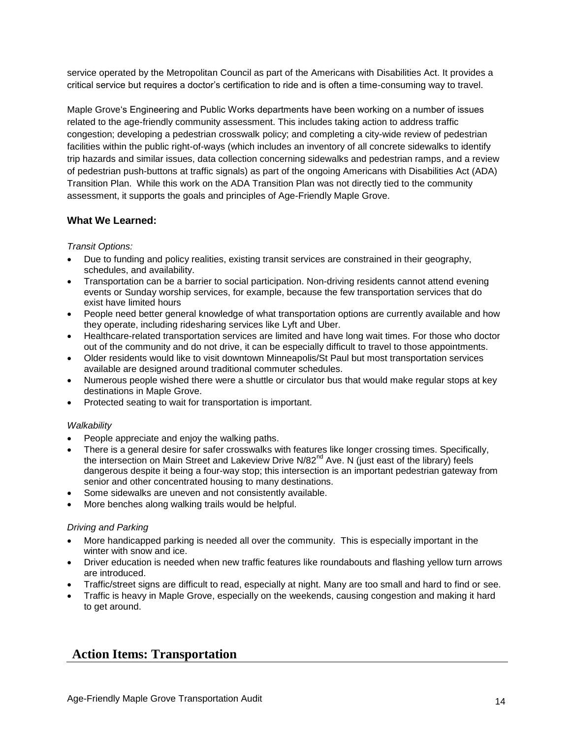service operated by the Metropolitan Council as part of the Americans with Disabilities Act. It provides a critical service but requires a doctor's certification to ride and is often a time-consuming way to travel.

Maple Grove's Engineering and Public Works departments have been working on a number of issues related to the age-friendly community assessment. This includes taking action to address traffic congestion; developing a pedestrian crosswalk policy; and completing a city-wide review of pedestrian facilities within the public right-of-ways (which includes an inventory of all concrete sidewalks to identify trip hazards and similar issues, data collection concerning sidewalks and pedestrian ramps, and a review of pedestrian push-buttons at traffic signals) as part of the ongoing Americans with Disabilities Act (ADA) Transition Plan. While this work on the ADA Transition Plan was not directly tied to the community assessment, it supports the goals and principles of Age-Friendly Maple Grove.

## **What We Learned:**

## *Transit Options:*

- Due to funding and policy realities, existing transit services are constrained in their geography, schedules, and availability.
- Transportation can be a barrier to social participation. Non-driving residents cannot attend evening events or Sunday worship services, for example, because the few transportation services that do exist have limited hours
- People need better general knowledge of what transportation options are currently available and how they operate, including ridesharing services like Lyft and Uber.
- Healthcare-related transportation services are limited and have long wait times. For those who doctor out of the community and do not drive, it can be especially difficult to travel to those appointments.
- Older residents would like to visit downtown Minneapolis/St Paul but most transportation services available are designed around traditional commuter schedules.
- Numerous people wished there were a shuttle or circulator bus that would make regular stops at key destinations in Maple Grove.
- Protected seating to wait for transportation is important.

## *Walkability*

- People appreciate and enjoy the walking paths.
- There is a general desire for safer crosswalks with features like longer crossing times. Specifically, the intersection on Main Street and Lakeview Drive N/82<sup>nd</sup> Ave. N (just east of the library) feels dangerous despite it being a four-way stop; this intersection is an important pedestrian gateway from senior and other concentrated housing to many destinations.
- Some sidewalks are uneven and not consistently available.
- More benches along walking trails would be helpful.

## *Driving and Parking*

- More handicapped parking is needed all over the community. This is especially important in the winter with snow and ice.
- Driver education is needed when new traffic features like roundabouts and flashing yellow turn arrows are introduced.
- Traffic/street signs are difficult to read, especially at night. Many are too small and hard to find or see.
- Traffic is heavy in Maple Grove, especially on the weekends, causing congestion and making it hard to get around.

## **Action Items: Transportation**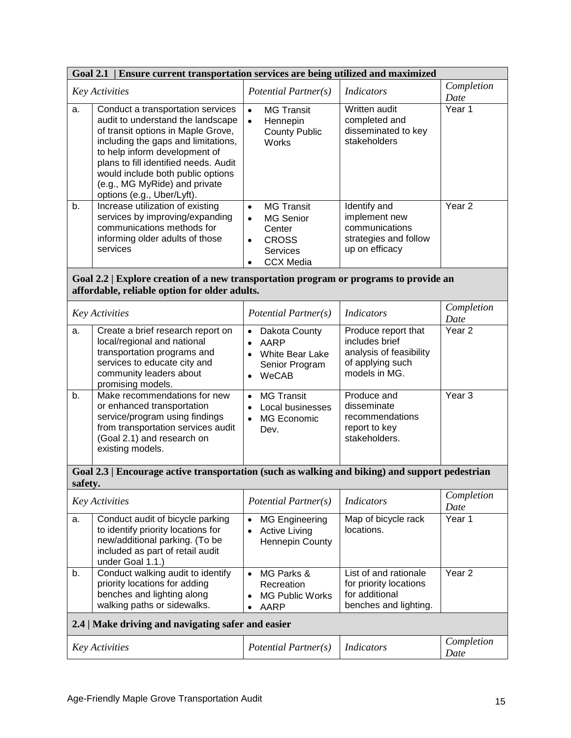| Ensure current transportation services are being utilized and maximized<br><b>Goal 2.1</b>                                             |                                                                                                                                                                                                                                                                                                                                   |                                                                                                                                                     |                                                                                                       |                    |  |  |
|----------------------------------------------------------------------------------------------------------------------------------------|-----------------------------------------------------------------------------------------------------------------------------------------------------------------------------------------------------------------------------------------------------------------------------------------------------------------------------------|-----------------------------------------------------------------------------------------------------------------------------------------------------|-------------------------------------------------------------------------------------------------------|--------------------|--|--|
| <b>Key Activities</b>                                                                                                                  |                                                                                                                                                                                                                                                                                                                                   | Potential Partner(s)                                                                                                                                | <b>Indicators</b>                                                                                     | Completion<br>Date |  |  |
| a.                                                                                                                                     | Conduct a transportation services<br>audit to understand the landscape<br>of transit options in Maple Grove,<br>including the gaps and limitations,<br>to help inform development of<br>plans to fill identified needs. Audit<br>would include both public options<br>(e.g., MG MyRide) and private<br>options (e.g., Uber/Lyft). | <b>MG Transit</b><br>$\bullet$<br>Hennepin<br>$\bullet$<br><b>County Public</b><br>Works                                                            | Written audit<br>completed and<br>disseminated to key<br>stakeholders                                 | Year 1             |  |  |
| b.                                                                                                                                     | Increase utilization of existing<br>services by improving/expanding<br>communications methods for<br>informing older adults of those<br>services                                                                                                                                                                                  | <b>MG Transit</b><br>$\bullet$<br><b>MG Senior</b><br>$\bullet$<br>Center<br><b>CROSS</b><br>$\bullet$<br>Services<br><b>CCX Media</b><br>$\bullet$ | Identify and<br>implement new<br>communications<br>strategies and follow<br>up on efficacy            | Year <sub>2</sub>  |  |  |
| Goal 2.2   Explore creation of a new transportation program or programs to provide an<br>affordable, reliable option for older adults. |                                                                                                                                                                                                                                                                                                                                   |                                                                                                                                                     |                                                                                                       |                    |  |  |
|                                                                                                                                        | Key Activities                                                                                                                                                                                                                                                                                                                    | Potential Partner(s)                                                                                                                                | <b>Indicators</b>                                                                                     | Completion<br>Date |  |  |
| a.                                                                                                                                     | Create a brief research report on<br>local/regional and national<br>transportation programs and<br>services to educate city and<br>community leaders about<br>promising models.                                                                                                                                                   | Dakota County<br>$\bullet$<br>AARP<br>$\bullet$<br>White Bear Lake<br>$\bullet$<br>Senior Program<br>WeCAB<br>$\bullet$                             | Produce report that<br>includes brief<br>analysis of feasibility<br>of applying such<br>models in MG. | Year <sub>2</sub>  |  |  |
| b.                                                                                                                                     | Make recommendations for new<br>or enhanced transportation<br>service/program using findings<br>from transportation services audit<br>(Goal 2.1) and research on<br>existing models.                                                                                                                                              | <b>MG Transit</b><br>$\bullet$<br>Local businesses<br>MG Economic<br>Dev.                                                                           | Produce and<br>disseminate<br>recommendations<br>report to key<br>stakeholders.                       | Year <sub>3</sub>  |  |  |
| Goal 2.3   Encourage active transportation (such as walking and biking) and support pedestrian<br>safety.                              |                                                                                                                                                                                                                                                                                                                                   |                                                                                                                                                     |                                                                                                       |                    |  |  |
|                                                                                                                                        | <b>Key Activities</b>                                                                                                                                                                                                                                                                                                             | Potential Partner(s)                                                                                                                                | <i>Indicators</i>                                                                                     | Completion<br>Date |  |  |
| a.                                                                                                                                     | Conduct audit of bicycle parking<br>to identify priority locations for<br>new/additional parking. (To be<br>included as part of retail audit<br>under Goal 1.1.)                                                                                                                                                                  | <b>MG Engineering</b><br><b>Active Living</b><br><b>Hennepin County</b>                                                                             | Map of bicycle rack<br>locations.                                                                     | Year 1             |  |  |
| b.                                                                                                                                     | Conduct walking audit to identify<br>priority locations for adding<br>benches and lighting along<br>walking paths or sidewalks.                                                                                                                                                                                                   | MG Parks &<br>$\bullet$<br>Recreation<br><b>MG Public Works</b><br>AARP                                                                             | List of and rationale<br>for priority locations<br>for additional<br>benches and lighting.            | Year <sub>2</sub>  |  |  |
| 2.4   Make driving and navigating safer and easier                                                                                     |                                                                                                                                                                                                                                                                                                                                   |                                                                                                                                                     |                                                                                                       |                    |  |  |
| <b>Key Activities</b>                                                                                                                  |                                                                                                                                                                                                                                                                                                                                   | Potential Partner(s)                                                                                                                                | <b>Indicators</b>                                                                                     | Completion<br>Date |  |  |